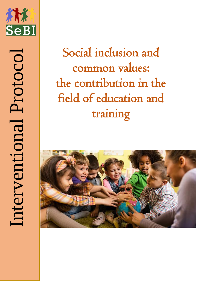

Social inclusion and common values: the contribution in the field of education and

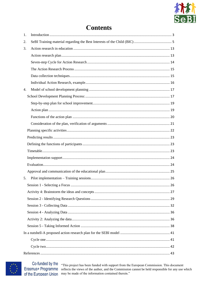

# **Contents**

| 1. |  |
|----|--|
| 2. |  |
| 3. |  |
|    |  |
|    |  |
|    |  |
|    |  |
|    |  |
| 4. |  |
|    |  |
|    |  |
|    |  |
|    |  |
|    |  |
|    |  |
|    |  |
|    |  |
|    |  |
|    |  |
|    |  |
|    |  |
| 5. |  |
|    |  |
|    |  |
|    |  |
|    |  |
|    |  |
|    |  |
|    |  |
|    |  |
|    |  |
|    |  |
|    |  |



Co-funded by the Erasmus+ Programme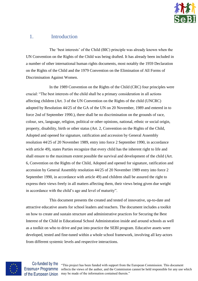

## <span id="page-2-0"></span>1. Introduction

The 'best interests' of the Child (BIC) principle was already known when the UN Convention on the Rights of the Child was being drafted. It has already been included in a number of other international human rights documents, most notably the 1959 Declaration on the Rights of the Child and the 1979 Convention on the Elimination of All Forms of Discrimination Against Women.

In the 1989 Convention on the Rights of the Child (CRC) four principles were crucial: "The best interests of the child shall be a primary consideration in all actions affecting children (Art. 3 of the UN Convention on the Rights of the child (UNCRC) adopted by Resolution 44/25 of the GA of the UN on 20 November, 1989 and entered in to force 2nd of September 1990.), there shall be no discrimination on the grounds of race, colour, sex, language, religion, political or other opinions, national, ethnic or social origin, property, disability, birth or other status (Art. 2, Convention on the Rights of the Child, Adopted and opened for signature, ratification and accession by General Assembly resolution 44/25 of 20 November 1989, entry into force 2 September 1990, in accordance with article 49), states Parties recognize that every child has the inherent right to life and shall ensure to the maximum extent possible the survival and development of the child (Art. 6, Convention on the Rights of the Child, Adopted and opened for signature, ratification and accession by General Assembly resolution 44/25 of 20 November 1989 entry into force 2 September 1990, in accordance with article 49) and children shall be assured the right to express their views freely in all matters affecting them, their views being given due weight in accordance with the child's age and level of maturity".

This document presents the created and tested of innovative, up-to-date and attractive educative assets for school leaders and teachers. The document includes a toolkit on how to create and sustain structure and administrative practices for Securing the Best Interest of the Child in Educational School Administration inside and around schools as well as a toolkit on who to drive and put into practice the SEBI program. Educative assets were developed, tested and fine-tuned within a whole school framework, involving all key-actors from different systemic levels and respective interactions.

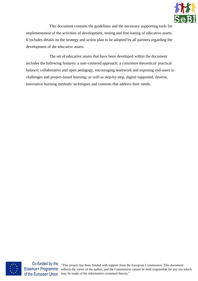

This document contains the guidelines and the necessary supporting tools for implementation of the activities of development, testing and fine-tuning of educative assets. It includes details on the strategy and action plan to be adopted by all partners regarding the development of the educative assets.

The set of educative assets that have been developed within the document includes the following features: a user-centered approach; a consistent theoretical/ practical balance; collaborative and open pedagogy, encouraging teamwork and exposing end-users to challenges and project-based learning; as well as step-by-step, digital supported, diverse, innovative learning methods/ techniques and contents that address their needs.



Erasmus+ Programme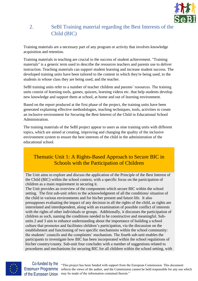

## <span id="page-4-0"></span>2. SeBI Training material regarding the Best Interests of the Child (BIC)

Training materials are a necessary part of any program or activity that involves knowledge acquisition and retention.

Training materials in teaching are crucial to the success of student achievement. "Training materials" is a generic term used to describe the resources teachers and parents use to deliver instruction. Teaching materials can support student learning and increase student success. The developed training units have been tailored to the content in which they're being used, to the students in whose class they are being used, and the teacher.

SeBI training units refer to a number of teacher children and parents' resources. The training units consist of learning tools, games, quizzes, learning videos etc. that help students develop new knowledge and support them at school, at home and out of learning environment.

Based on the report produced at the first phase of the project, the training units have been generated explaining effective methodologies, teaching techniques, tools, activities to create an inclusive environment for Securing the Best Interest of the Child in Educational School Administration.

The training materials of the SeBI project appear to users as nine training units with different topics, which are aimed at creating, improving and changing the quality of the inclusive environment system to ensure the best interests of the child in the administration of the educational school.

## Thematic Unit 1: A Rights-Based Approach to Secure BIC in Schools with the Participation of Children

The Unit aims to explore and discuss the application of the Principle of the Best Interest of the Child (BIC) within the school context, with a specific focus on the participation of children as a main requirement in securing it.

The Unit provides an overview of the components which secure BIC within the school setting. The first sub-unit refers to the acknowledgment of all the conditions/ situation of the child in various environments and for his/her present and future life. It also presupposes evaluating the impact of any decision in all the rights of the child, as rights are interrelated and interdependent, along with an examination of possible conflict of interests with the rights of other individuals or groups. Additionally, it discusses the participation of children as such, naming the conditions needed to be constructive and meaningful. Subunits 2 and 3 aim to enhance understanding about the importance of building a school culture that promotes and facilitates children's participation, via the discussion on the establishment and functioning of two specific mechanisms within the school community: the students' councils and the complaints' mechanism. The fourth sub-unit enables the participants to investigate how BIC has been incorporated within the school regulations of his/her country/county. Sub-unit four concludes with a number of suggestions related to procedures and mechanisms for securing BIC for all children within the school setting, with



Co-funded by the Erasmus+ Programme of the European Union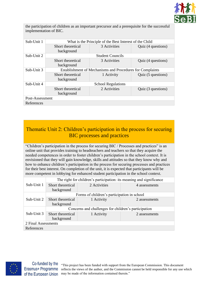

the participation of children as an important precursor and a prerequisite for the successful implementation of BIC.

| Sub-Unit 1      | What is the Principle of the Best Interest of the Child   |                         |                    |  |
|-----------------|-----------------------------------------------------------|-------------------------|--------------------|--|
|                 | Short theoretical                                         | 3 Activities            | Quiz (4 questions) |  |
|                 | background                                                |                         |                    |  |
| Sub-Unit 2      |                                                           | <b>Student Councils</b> |                    |  |
|                 | Short theoretical                                         | 3 Activities            | Quiz (4 questions) |  |
|                 | background                                                |                         |                    |  |
| Sub-Unit 3      | Establishment of Mechanisms and Procedures for Complaints |                         |                    |  |
|                 | Short theoretical                                         | 1 Activity              | Quiz (5 questions) |  |
|                 | background                                                |                         |                    |  |
| Sub-Unit 4      | <b>School Regulations</b>                                 |                         |                    |  |
|                 | Short theoretical                                         | 2 Activities            | Quiz (3 questions) |  |
|                 | background                                                |                         |                    |  |
| Post-Assessment |                                                           |                         |                    |  |
| References      |                                                           |                         |                    |  |

Thematic Unit 2: Children's participation in the process for securing BIC processes and practices

"Children's participation in the process for securing BIC / Processes and practices" is an online unit that provides training to headteachers and teachers so that they acquire the needed competences in order to foster children's participation in the school context. It is envisioned that they will gain knowledge, skills and attitudes so that they know why and how to enhance children's participation in the process for securing processes and practices for their best interest. On completion of the unit, it is expected that participants will be more competent in lobbying for enhanced student participation in the school context.

|                     | The right for children's participation: its meaning and significance |                                             |               |  |  |
|---------------------|----------------------------------------------------------------------|---------------------------------------------|---------------|--|--|
| Sub-Unit 1          | Short theoretical<br>background                                      | 2 Activities                                | 4 assessments |  |  |
|                     |                                                                      | Forms of children's participation in school |               |  |  |
| Sub-Unit 2          | Short theoretical<br>background                                      | 1 Activity                                  | 2 assessments |  |  |
|                     | Concerns and challenges for children's participation                 |                                             |               |  |  |
| Sub-Unit 3          | Short theoretical<br>background                                      | 1 Activity                                  | 2 assessments |  |  |
| 2 Final Assessments |                                                                      |                                             |               |  |  |
| References          |                                                                      |                                             |               |  |  |



Co-funded by the Erasmus+ Programme of the European Union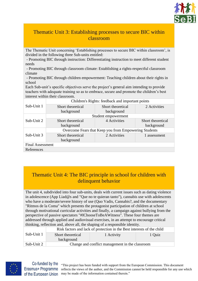

## Thematic Unit 3: Establishing processes to secure BIC within classroom

The Thematic Unit concerning 'Establishing processes to secure BIC within classroom', is divided in the following three Sub-units entitled:

- Promoting BIC through instruction: Differentiating instruction to meet different student needs

- Promoting BIC through classroom climate: Establishing a rights-respectful classroom climate

- Promoting BIC through children empowerment: Teaching children about their rights in school

Each Sub-unit's specific objectives serve the project's general aim intending to provide teachers with adequate training so as to embrace, secure and promote the children's best interest within their classroom.

|                         | Children's Rights: feedback and important points      |                     |                   |  |  |
|-------------------------|-------------------------------------------------------|---------------------|-------------------|--|--|
| Sub-Unit 1              | Short theoretical                                     | Short theoretical   | 2 Activities      |  |  |
|                         | background                                            | background          |                   |  |  |
|                         |                                                       | Student empowerment |                   |  |  |
| Sub-Unit 2              | Short theoretical                                     | 4 Activities        | Short theoretical |  |  |
|                         | background                                            |                     | background        |  |  |
|                         | Overcome Fears that Keep you from Empowering Students |                     |                   |  |  |
| Sub-Unit 3              | Short theoretical                                     | 2 Activities        | 1 assessment      |  |  |
|                         | background                                            |                     |                   |  |  |
| <b>Final Assessment</b> |                                                       |                     |                   |  |  |
| References              |                                                       |                     |                   |  |  |

## Thematic Unit 4: The BIC principle in school for children with delinquent behavior

The unit 4, subdivided into four sub-units, deals with current issues such as dating violence in adolescence (App Liad@s and "Que no te quieran tanto"), cannabis use with adolescents who have a moderate/severe history of use (Quo Vadis, Cannabis?, and the documentary "Ritmos de la Coma" which presents the protagonist participation of children at school through motivational curricular activities and finally, a campaign against bullying from the perspective of passive spectators "#IChooseToBeAWitness". These four themes are addressed through applied and audiovisual exercises, in an attempt to encourage critical thinking, reflection and, above all, the shaping of a responsible identity.

|            | Risk factors and lack of protection in the Best interests of the child |            |        |  |
|------------|------------------------------------------------------------------------|------------|--------|--|
| Sub-Unit 1 | Short theoretical<br>background                                        | 1 Activity | 1 Quiz |  |
| Sub-Unit 2 | Change and conflict management in the classroom                        |            |        |  |



Co-funded by the Erasmus+ Programme of the European Union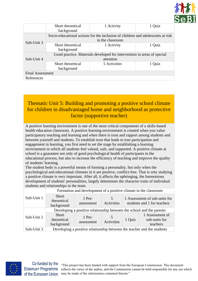

|                         | Short theoretical<br>background                                         | 1 Activity                                                                                          | 1 Quiz |  |  |
|-------------------------|-------------------------------------------------------------------------|-----------------------------------------------------------------------------------------------------|--------|--|--|
|                         |                                                                         | Socio-educational actions for the inclusion of children and adolescents at risk<br>in the classroom |        |  |  |
| Sub-Unit 3              | Short theoretical<br>background                                         | 1 Activity                                                                                          | 1 Quiz |  |  |
|                         | Good practice. Materials developed for intervention in areas of special |                                                                                                     |        |  |  |
| Sub-Unit 4              | attention                                                               |                                                                                                     |        |  |  |
|                         | Short theoretical<br>background                                         | 5 Activities                                                                                        | 1 Quiz |  |  |
| <b>Final Assessment</b> |                                                                         |                                                                                                     |        |  |  |
| References              |                                                                         |                                                                                                     |        |  |  |

## Thematic Unit 5: Building and promoting a positive school climate for children in disadvantaged home and neighborhood as protective factor (supportive teacher)

A positive learning environment is one of the most critical components of a skills-based health education classroom. A positive learning environment is created when you value participatory teaching and learning and when there is trust and rapport among students and between yourself and students. To establish trust that leads to true participation and engagement in learning, you first need to set the stage by establishing a learning environment in which all students feel valued, safe, and supported. A positive climate at school is a guarantee not only of good psychological health of participants in the educational process, but also to increase the efficiency of teaching and improve the quality of students' learning.

The student body is a powerful means of forming a personality, but only when the psychological and educational climates in it are positive, conflict-free. That is why studying a positive climate is very important. After all, it affects the upbringing, the harmonious development of students' personalities, largely determines the character traits of individual students and relationships in the team.

|            | Formation and development of a positive climate in the classroom        |                      |                 |        |                                                              |
|------------|-------------------------------------------------------------------------|----------------------|-----------------|--------|--------------------------------------------------------------|
| Sub-Unit 1 | <b>Short</b><br>theoretical<br>background                               | 1 Pre-<br>assessment | 5<br>Activities |        | 1 Assessment of sub-units for<br>students and 1 for teachers |
|            | Developing a positive relationship between the school and the parents   |                      |                 |        |                                                              |
| Sub-Unit 2 | <b>Short</b><br>theoretical<br>background                               | 1 Pre-<br>assessment | Activities      | 1 Quiz | 1 Assessment of<br>sub-units for<br>teachers                 |
| Sub-Unit 3 | Developing a positive relationship between the teacher and the students |                      |                 |        |                                                              |



Co-funded by the Erasmus+ Programme of the European Union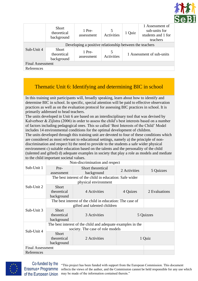

|                         | <b>Short</b><br>theoretical<br>background               | 1 Pre-<br>assessment | 5<br><b>Activities</b> | 1 Quiz | 1 Assessment of<br>sub-units for<br>students and 1 for<br>teachers |
|-------------------------|---------------------------------------------------------|----------------------|------------------------|--------|--------------------------------------------------------------------|
|                         | Developing a positive relationship between the teachers |                      |                        |        |                                                                    |
| Sub-Unit 4              | <b>Short</b><br>theoretical<br>background               | 1 Pre-<br>assessment | 5<br><b>Activities</b> |        | 1 Assessment of sub-units                                          |
| <b>Final Assessment</b> |                                                         |                      |                        |        |                                                                    |
| References              |                                                         |                      |                        |        |                                                                    |

## Thematic Unit 6: Identifying and determining BIC in school

In this training unit participants will, broadly speaking, learn about how to identify and determine BIC in school. In specific, special attention will be paid to effective observation practices as well as on the evaluation protocol for assessing BIC practices in school. It is primarily addressed to head teachers.

The units developed in Unit 6 are based on an interdisciplinary tool that was devised by Kalverboer & Zijlstra (2006) in order to assess the child's best interests based on a number of factors including pedagogical ones. This so called 'Best Interests of the Child' Model includes 14 environmental conditions for the optimal development of children.

The units developed through this training unit are devoted to four of these conditions which are considered as most relevant to educational settings, namely a) the principle of nondiscrimination and respect b) the need to provide to the students a safe wider physical environment c) suitable education based on the talents and the personality of the child (talented and gifted) d) adequate examples in society that play a role as models and mediate to the child important societal values.

|                         | Non-discrimination and respect                           |                                                             |              |               |
|-------------------------|----------------------------------------------------------|-------------------------------------------------------------|--------------|---------------|
| Sub-Unit 1              | Pre-<br>assessment                                       | Short theoretical<br>background                             | 2 Activities | 5 Quizzes     |
|                         |                                                          | The best interest of the child in education: Safe wider     |              |               |
|                         |                                                          | physical environment                                        |              |               |
| Sub-Unit 2              | Short                                                    |                                                             |              |               |
|                         |                                                          |                                                             |              |               |
|                         | theoretical                                              | 4 Activities                                                | 4 Quizes     | 2 Evaluations |
|                         | background                                               |                                                             |              |               |
|                         | The best interest of the child in education: The case of |                                                             |              |               |
|                         |                                                          | gifted and talented children                                |              |               |
| Sub-Unit 3              | <b>Short</b>                                             |                                                             |              |               |
|                         | theoretical                                              | 3 Activities                                                |              | 5 Quizzes     |
|                         | background                                               |                                                             |              |               |
|                         |                                                          | The best interest of the child and adequate examples in the |              |               |
|                         |                                                          | society. The case of role models                            |              |               |
| Sub-Unit 4              | <b>Short</b>                                             |                                                             |              |               |
|                         | theoretical                                              | 2 Activities                                                |              |               |
|                         |                                                          |                                                             |              | 1 Quiz        |
|                         | background                                               |                                                             |              |               |
| <b>Final Assessment</b> |                                                          |                                                             |              |               |
| References              |                                                          |                                                             |              |               |



Co-funded by the Erasmus+ Programme of the European Union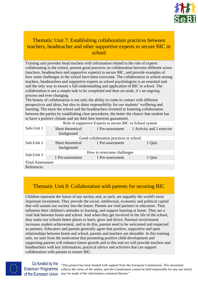

## Thematic Unit 7: Establishing collaboration practices between teachers, headteacher and other supportive experts to secure BIC in school

Training unit provides head teachers with information related to the role of experts collaborating in the school, present good practices on collaboration between different actors (teachers, headteachers and supportive experts) to secure BIC, and provide examples of how some challenges in the school have been overcome. The collaboration in school among teachers, headteachers and supportive experts as school psychologists is an essential task and the only way to ensure a full understanding and application of BIC in school. The collaboration is not a simple task to be completed and then set aside, it's an ongoing process and ever-changing.

The beauty of collaboration is not only the ability to come in contact with different perspectives and ideas, but also to share responsibility for our students' wellbeing and learning. The more the school and the headteachers invested in fostering collaboration between the parties by establishing clear procedures, the better the chance that student has to have a positive climate and see their best interests guaranteed.

|                         | Role of supportive Experts to secure BIC in School system |                  |                           |  |  |
|-------------------------|-----------------------------------------------------------|------------------|---------------------------|--|--|
| Sub-Unit 1              | Short theoretical                                         | 1 Pre-assessment | 1 Activity and 1 exercise |  |  |
|                         | background                                                |                  |                           |  |  |
|                         | Good collaboration practices in school                    |                  |                           |  |  |
| Sub-Unit 2              | Short theoretical                                         | 1 Pre-assessment | 1 Quiz                    |  |  |
|                         | background                                                |                  |                           |  |  |
| Sub-Unit 3              | How to overcome challenges                                |                  |                           |  |  |
|                         | 1 Pre-assessment                                          | 1 Pre-assessment | 1 Quiz                    |  |  |
| <b>Final Assessment</b> |                                                           |                  |                           |  |  |
| References              |                                                           |                  |                           |  |  |

## Thematic Unit 8: Collaboration with parents for securing BIC

Children represent the future of our society and, as such, are arguably the world's most important investment. They provide the social, intellectual, economic and political capital that will sustain our society into the future. Parents are vital partners in education. They influence their children's attitudes to learning, and support learning at home. They are a vital link between home and school. And when they get involved in the life of the school, they make our schools better places to learn, grow and thrive. Parental involvement increases student achievement, and to do this, parents need to be welcomed and respected as partners. Educators and parents generally agree that positive, supportive and open relationships between home and school, parents and teachers are desirable. In this training unit, we start from the motivation that promoting positive child development and supporting parents will enhance future growth and to this end we will provide teachers and headteachers with key information, practical advice and activities that can support collaboration with parents to ensure BIC.



Co-funded by the Erasmus+ Programme of the European Union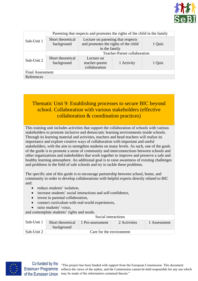

|                         |                   | Parenting that respects and promotes the rights of the child in the family |            |        |
|-------------------------|-------------------|----------------------------------------------------------------------------|------------|--------|
| Sub-Unit 1              | Short theoretical | Lecture on parenting that respects                                         |            |        |
|                         | background        | and promotes the rights of the child                                       |            | 1 Quiz |
|                         |                   | in the family                                                              |            |        |
|                         |                   | Teacher-Parent collaboration                                               |            |        |
| Sub-Unit 2              | Short theoretical | Lecture on                                                                 |            |        |
|                         | background        | teacher-parent                                                             | 1 Activity | 1 Quiz |
|                         |                   | collaboration                                                              |            |        |
| <b>Final Assessment</b> |                   |                                                                            |            |        |
| References              |                   |                                                                            |            |        |

## Thematic Unit 9: Establishing processes to secure BIC beyond school. Collaboration with various stakeholders (effective collaboration & coordination practices)

This training unit includes activities that support the collaboration of schools with various stakeholders to promote inclusive and democratic learning environments inside schools. Through its learning material and activities, teachers and head teachers will realize its importance and explore creative ways of collaboration with important and useful stakeholders, with the aim to strengthen students on many levels. As such, one of the goals of the guide is to promote a sense of community and interconnections between schools and other organizations and stakeholders that work together to improve and preserve a safe and healthy learning atmosphere. An additional goal is to raise awareness of existing challenges and problems in the field of safe schools and try to tackle these problems.

The specific aim of this guide is to encourage partnership between school, home, and community in order to develop collaborations with helpful experts directly related to BIC and:

- reduce students' isolation.
- increase students' social interactions and self-confidence,
- invest in parental collaboration,
- connect curriculum with real-world experiences,
- raise students' voice,

and contemplate students' rights and needs.

|            |                                 | Social interactions |              |              |  |
|------------|---------------------------------|---------------------|--------------|--------------|--|
| Sub-Unit 1 | Short theoretical<br>background | 1 Pre-assessment    | 2 Activities | 1 Assessment |  |
| Sub-Unit 2 | Care for the environment        |                     |              |              |  |

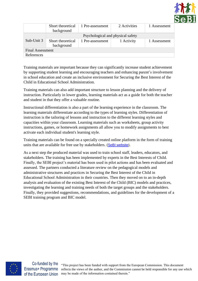

|                         | Short theoretical<br>background | 1 Pre-assessment                  | 2 Activities | 1 Assessment |
|-------------------------|---------------------------------|-----------------------------------|--------------|--------------|
|                         |                                 | Psychological and physical safety |              |              |
| Sub-Unit 3              | Short theoretical               | 1 Pre-assessment                  | 1 Activity   | 1 Assessment |
|                         | background                      |                                   |              |              |
| <b>Final Assessment</b> |                                 |                                   |              |              |
| References              |                                 |                                   |              |              |
|                         |                                 |                                   |              |              |

Training materials are important because they can significantly increase student achievement by supporting student learning and encouraging teachers and enhancing parent's involvement in school education and create an inclusive environment for Securing the Best Interest of the Child in Educational School Administration.

Training materials can also add important structure to lesson planning and the delivery of instruction. Particularly in lower grades, learning materials act as a guide for both the teacher and student in that they offer a valuable routine.

Instructional differentiation is also a part of the learning experience in the classroom. The learning materials differentiate according to the types of learning styles. Differentiation of instruction is the tailoring of lessons and instruction to the different learning styles and capacities within your classroom. Learning materials such as worksheets, group activity instructions, games, or homework assignments all allow you to modify assignments to best activate each individual student's learning style.

Training materials can be found on a specially created online platform in the form of training units that are available for free use by stakeholders. ([SeBI website](https://sebi-project.eu/)).

As a next step the produced material was used to train school staff, leaders, educators, and stakeholders. The training has been implemented by experts in the Best Interests of Child. Finally, the SEBI project's material has been used in pilot actions and has been evaluated and assessed. The partners conducted a literature review on the pedagogical models and administrative structures and practices in Securing the Best Interest of the Child in Educational School Administration in their countries. Then they moved on to an in-depth analysis and evaluation of the existing Best Interest of the Child (BIC) models and practices, investigating the learning and training needs of both the target groups and the stakeholders. Finally, they provided suggestions, recommendations, and guidelines for the development of a SEBI training program and BIC model.



Co-funded by the Erasmus+ Programme of the European Union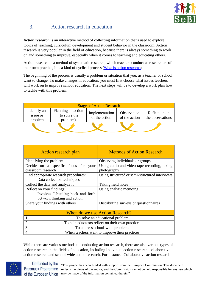

## <span id="page-12-0"></span>3. Action research in education

*Action research* is an interactive method of collecting information that's used to explore topics of teaching, curriculum development and student behavior in the classroom. Action research is very popular in the field of education, because there is always something to work on and something to improve, especially when it comes to teaching and educating others.

Action research is a method of systematic research, which teachers conduct as researchers of their own practice, it is a kind of cyclical process ([What is action research](http://www.ascd.org/publications/books/100047/chapters/What-Is-Action-Research%C2%A2.aspx)).

The beginning of the process is usually a problem or situation that you, as a teacher or school, want to change. To make changes in education, you must first choose what issues teachers will work on to improve school education. The next steps will be to develop a work plan how to tackle with this problem.

| <b>Stages of Action Research</b>   |                                                 |                                 |                              |                                   |
|------------------------------------|-------------------------------------------------|---------------------------------|------------------------------|-----------------------------------|
| Identify an<br>issue or<br>problem | Planning an action<br>(to solve the<br>problem) | Implementation<br>of the action | Observation<br>of the action | Reflection on<br>the observations |
|                                    |                                                 |                                 |                              |                                   |

<span id="page-12-1"></span>

| <b>Action research plan</b>           | <b>Methods of Action Research</b>                |
|---------------------------------------|--------------------------------------------------|
| Identifying the problem               | Observing individuals or groups                  |
| Decide on a specific focus for your   | Using audio and video tape recording, taking     |
| classroom research                    | photography                                      |
| Find appropriate research procedures: | Using structured or semi-structured interviews   |
| Data collection techniques            |                                                  |
| Collect the data and analyze it       | Taking field notes                               |
| Reflect on your findings:             | Using analytic memoing                           |
| Involves "shuttling back and forth    |                                                  |
| between thinking and action"          |                                                  |
| Share your findings with others       | Distributing surveys or questionnaires           |
|                                       |                                                  |
|                                       | When do we use Action Research?                  |
| 1.                                    | To solve an educational problem                  |
| 2.                                    | To help educators reflect on their own practices |
| 3.                                    | To address school-wide problems                  |
| 4.                                    | When teachers want to improve their practices    |

While there are various methods to conducting action research, there are also various types of action research in the fields of education, including individual action research, collaborative action research and school-wide action research. For instance: Collaborative action research



Co-funded by the Erasmus+ Programme of the European Union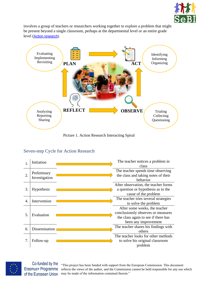

involves a group of teachers or researchers working together to explore a problem that might be present beyond a single classroom, perhaps at the departmental level or an entire grade level ([Action research](https://slideplayer.com/slide/5946451/)).



Picture 1. Action Research Interacting Spiral

## <span id="page-13-0"></span>Seven-step Cycle for Action Research





Co-funded by the Erasmus+ Programme of the European Union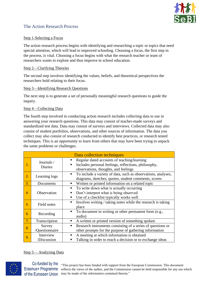

## <span id="page-14-0"></span>The Action Research Process

#### Step 1-Selecting a Focus

The action research process begins with identifying and researching a topic or topics that need special attention, which will lead to improved schooling. Choosing a focus, the first step in the process, is vital. Choosing a focus begins with what the research teacher or team of researchers wants to explore and thus improve in school education.

#### Step 2—Clarifying Theories

The second step involves identifying the values, beliefs, and theoretical perspectives the researchers hold relating to their focus.

#### Step 3—Identifying Research Questions

The next step is to generate a set of personally meaningful research questions to guide the inquiry.

#### Step 4—Collecting Data

The fourth step involved in conducting action research includes collecting data to use in answering your research questions. This data may consist of teacher-made surveys and standardized test data. Data may consist of surveys and interviews. Collected data may also consist of student portfolios, observations, and other sources of information. The data you collect may also consist of research conducted to identify best practices, or research tested techniques. This is an opportunity to learn from others that may have been trying to unpack the same problems or challenges.

<span id="page-14-1"></span>

|    |                              | Data collection techniques                                                                                                                            |
|----|------------------------------|-------------------------------------------------------------------------------------------------------------------------------------------------------|
| 1. | Journals /<br><b>Diaries</b> | Regular dated accounts of teaching/learning<br>٠<br>Includes personal feelings, reflections, philosophy,<br>٠<br>observations, thoughts, and feelings |
| 2. | Learning logs                | To include a variety of data, such as observations, analyses,<br>٠<br>diagrams, sketches, quotes, student comments, scores                            |
| 3. | Documents                    | Written or printed information on a related topic<br>٠                                                                                                |
| 4. | Observation                  | To write down what is actually occurring<br>٠<br>Don't interpret what is being observed<br>п<br>Use of a checklist typically works well<br>٠          |
| 5. | Field notes                  | Involves writing / taking notes while the research is taking<br>٠<br>place                                                                            |
| 6. | Recording                    | To document in writing or other permanent form (e.g.,<br>٠<br>audio)                                                                                  |
| 7. | Transcription                | A written or printed version of something spoken<br>٠                                                                                                 |
| 8. | Survey<br>/Questionnaire     | Research instruments consisting of a series of questions or<br>٠<br>other prompts for the purpose of gathering information                            |
| 9. | Interview<br>/Discussion     | A meeting at which information is obtained<br>٠<br>Talking in order to reach a decision or to exchange ideas                                          |

### Step 5— Analyzing Data



Co-funded by the Erasmus+ Programme of the European Union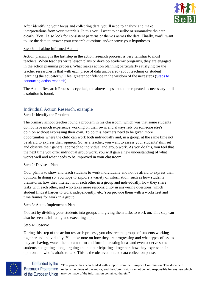

After identifying your focus and collecting data, you'll need to analyze and make interpretations from your materials. In this you'll want to describe or summarize the data clearly. You'll also look for consistent patterns or themes across the data. Finally, you'll want to use the data to answer your research questions and/or prove your hypotheses.

#### Step 6 —Taking Informed Action

Action planning is the last step in the action research process, is very familiar to most teachers. When teachers write lesson plans or develop academic programs, they are engaged in the action planning process. What makes action planning particularly satisfying for the teacher researcher is that with each piece of data uncovered (about teaching or student learning) the educator will feel greater confidence in the wisdom of the next steps (Steps to [conducting action research](https://wiobyrne.com/action-research/)).

The Action Research Process is cyclical, the above steps should be repeated as necessary until a solution is found.

## <span id="page-15-0"></span>Individual Action Research, example

Step 1: Identify the Problem

The primary school teacher found a problem in his classroom, which was that some students do not have much experience working on their own, and always rely on someone else's opinion without expressing their own. To do this, teachers need to be given more opportunities where the child can work both individually and, in a group, at the same time not be afraid to express their opinion. So, as a teacher, you want to assess your students' skill set and observe their general approach to individual and group work. As you do this, you feel that the next time you offer individual group work, you will gain a new understanding of what works well and what needs to be improved in your classroom.

#### Step 2: Devise a Plan

Your plan is to show and teach students to work individually and not be afraid to express their opinion. In doing so, you hope to explore a variety of information, such as how students brainstorm, how they interact with each other in a group and individually, how they share tasks with each other, and who takes more responsibility in answering questions, which student finds it harder to work independently, etc. You provide them with a worksheet and time frames for work in a group.

#### Step 3: Act to Implement a Plan

You act by dividing your students into groups and giving them tasks to work on. This step can also be seen as initiating and executing a plan.

#### Step 4: Observe

During this step of the action research process, you observe the groups of students working together and individually. You take note on how they are progressing and what types of issues they are having, watch them brainstorm and form interesting ideas and even observe some students not getting along, arguing and not participating altogether, how they express their opinion and who is afraid to talk. This is the observation and data collection phase.

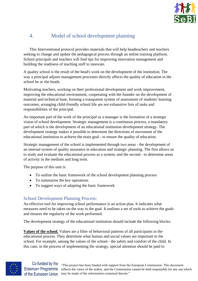

## <span id="page-16-0"></span>4. Model of school development planning

This Interventional protocol provides materials that will help headteachers and teachers seeking to change and update the pedagogical process through an online training platform. School principals and teachers will find tips for improving innovation management and building the readiness of teaching staff to innovate.

A quality school is the result of the head's work on the development of the institution. The way a principal adjusts management processes directly affects the quality of education in the school he or she heads.

Motivating teachers, working on their professional development and work improvement, improving the educational environment, cooperating with the founder on the development of material and technical base, forming a transparent system of assessment of students' learning outcomes, arranging child-friendly school life are not exhaustive lists of tasks and responsibilities of the principal.

An important part of the work of the principal as a manager is the formation of a strategic vision of school development. Strategic management is a continuous process, a mandatory part of which is the development of an educational institution development strategy. The development strategy makes it possible to determine the directions of movement of the educational institution to achieve the main goal - to ensure the quality of education.

Strategic management of the school is implemented through two areas - the development of an internal system of quality assurance in education and strategic planning. The first allows us to study and evaluate the educational process as a system, and the second - to determine areas of activity in the medium and long term.

The purpose of this unit is:

- To outline the basic framework of the school development planning process
- To summarise the key operations
- To suggest ways of adapting the basic framework

## <span id="page-16-1"></span>School Development Planning Process:

An effective tool for improving school performance is an action plan. It indicates what measures need to be taken on the way to the goal. It outlines a set of tools to achieve the goals and ensures the regularity of the work performed.

The development strategy of the educational institution should include the following blocks:

**Values of the school.** Values are a filter of behavioral patterns of all participants in the educational process. They determine what human and social values are important to the school. For example, among the values of the school - the safety and comfort of the child. In this case, in the process of implementing the strategy, special attention should be paid to



Co-funded by the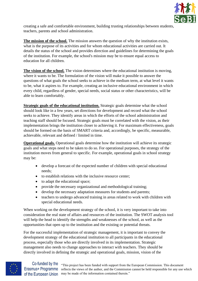

creating a safe and comfortable environment, building trusting relationships between students, teachers, parents and school administration.

**The mission of the school.** The mission answers the question of why the institution exists, what is the purpose of its activities and for whom educational activities are carried out. It details the status of the school and provides direction and guidelines for determining the goals of the institution. For example, the school's mission may be to ensure equal access to education for all children.

**The vision of the school.** The vision determines where the educational institution is moving, where it wants to be. The formulation of the vision will make it possible to answer the questions of what goals the school seeks to achieve in the medium term, at what level it wants to be, what it aspires to. For example, creating an inclusive educational environment in which every child, regardless of gender, special needs, social status or other characteristics, will be able to learn comfortably.

**Strategic goals of the educational institution.** Strategic goals determine what the school should look like in a few years, set directions for development and record what the school seeks to achieve. They identify areas in which the efforts of the school administration and teaching staff should be focused. Strategic goals must be correlated with the vision, as their implementation brings the institution closer to achieving it. For maximum effectiveness, goals should be formed on the basis of SMART criteria and, accordingly, be specific, measurable, achievable, relevant and defined / limited in time.

**Operational goals.** Operational goals determine how the institution will achieve its strategic goals and what steps need to be taken to do so. For operational purposes, the strategy of the institution moves from general to specific. For example, operational goals in school strategy may be:

- develop a forecast of the expected number of children with special educational needs;
- to establish relations with the inclusive resource center;
- to adapt the educational space:
- provide the necessary organizational and methodological training;
- develop the necessary adaptation measures for students and parents;
- teachers to undergo advanced training in areas related to work with children with special educational needs.

When working on the development strategy of the school, it is very important to take into consideration the real state of affairs and resources of the institution. The SWOT analysis tool will help the head to identify the strengths and weaknesses of the school, as well as the opportunities that open up to the institution and the existing or potential threats.

For the successful implementation of strategic management, it is important to convey the development strategy of the educational institution to all participants in the educational process, especially those who are directly involved in its implementation. Strategic management also needs to change approaches to interact with teachers. They should be directly involved in defining the strategic and operational goals, mission, vision of the

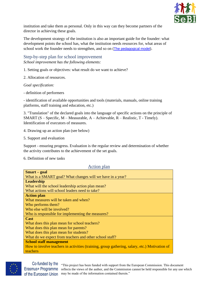

institution and take them as personal. Only in this way can they become partners of the director in achieving these goals.

The development strategy of the institution is also an important guide for the founder: what development points the school has, what the institution needs resources for, what areas of school work the founder needs to strengthen, and so on ([The pedagogical model](https://www.education.vic.gov.au/Documents/school/teachers/teachingresources/practice/pedagogicalmodel.pdf)).

<span id="page-18-0"></span>Step-by-step plan for school improvement *School improvement has the following elements:*

1. Setting goals or objectives: what result do we want to achieve?

2. Allocation of resources.

*Goal specification:*

- definition of performers

- identification of available opportunities and tools (materials, manuals, online training platforms, staff training and education, etc.)

3. "Translation" of the declared goals into the language of specific actions on the principle of SMART (S – Specific, M – Measurable, A – Achievable, R – Realistic, T - Timely). Identification of executors of measures.

- 4. Drawing up an action plan (see below)
- 5. Support and evaluation

Support - ensuring progress. Evaluation is the regular review and determination of whether the activity contributes to the achievement of the set goals.

6. Definition of new tasks

Action plan

<span id="page-18-1"></span>

| <b>Smart</b> – goal                                                                           |
|-----------------------------------------------------------------------------------------------|
| What is a SMART goal? What changes will we have in a year?                                    |
| Leadership                                                                                    |
| What will the school leadership action plan mean?                                             |
| What actions will school leaders need to take?                                                |
| <b>Action plan</b>                                                                            |
| What measures will be taken and when?                                                         |
| Who performs them?                                                                            |
| Who else will be involved?                                                                    |
| Who is responsible for implementing the measures?                                             |
| <b>Cast</b>                                                                                   |
| What does this plan mean for school teachers?                                                 |
| What does this plan mean for parents?                                                         |
| What does this plan mean for students?                                                        |
| What do we expect from teachers and other school staff?                                       |
| <b>School staff management</b>                                                                |
| How to involve teachers in activities (training, group gathering, salary, etc.) Motivation of |
| teachers                                                                                      |



Erasmus+ Programme of the European Union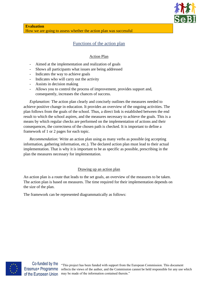

## Functions of the action plan

### Action Plan

- <span id="page-19-0"></span>- Aimed at the implementation and realization of goals
- Shows all participants what issues are being addressed
- Indicates the way to achieve goals
- Indicates who will carry out the activity
- Assists in decision making
- Allows you to control the process of improvement, provides support and, consequently, increases the chances of success.

*Explanation:* The action plan clearly and concisely outlines the measures needed to achieve positive change in education. It provides an overview of the ongoing activities. The plan follows from the goals of the school. Thus, a direct link is established between the end result to which the school aspires, and the measures necessary to achieve the goals. This is a means by which regular checks are performed on the implementation of actions and their consequences, the correctness of the chosen path is checked. It is important to define a framework of 1 or 2 pages for each topic.

*Recommendation:* Write an action plan using as many verbs as possible (eg accepting information, gathering information, etc.). The declared action plan must lead to their actual implementation. That is why it is important to be as specific as possible, prescribing in the plan the measures necessary for implementation.

#### Drawing up an action plan

An action plan is a route that leads to the set goals, an overview of the measures to be taken. The action plan is based on measures. The time required for their implementation depends on the size of the plan.

The framework can be represented diagrammatically as follows:



Co-funded by the Erasmus+ Programme of the European Union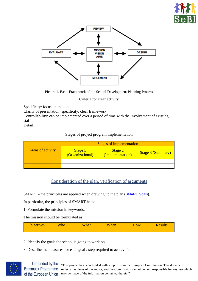



Picture 1. Basic Framework of the School Development Planning Process

Criteria for clear activity

Specificity: focus on the topic

Clarity of presentation: specificity, clear framework

Controllability: can be implemented over a period of time with the involvement of existing staff

Detail.

### Stages of project program implementation

|                          | <b>Stages of implementation</b>    |                             |                          |  |
|--------------------------|------------------------------------|-----------------------------|--------------------------|--|
| <b>Areas of activity</b> | <b>Stage 1</b><br>(Organizational) | Stage 2<br>(Implementation) | <b>Stage 3 (Summary)</b> |  |
|                          |                                    |                             |                          |  |
|                          |                                    |                             |                          |  |

## Consideration of the plan, verification of arguments

<span id="page-20-0"></span>SMART - the principles are applied when drawing up the plan ([SMART Goals](https://www.mindtools.com/pages/article/smart-goals.htm)).

In particular, the principles of SMART help:

1. Formulate the mission in keywords.

The mission should be formulated as:

| <b>Objectives</b> | <b>Who</b> | What | When | <b>How</b> | <b>Results</b> |
|-------------------|------------|------|------|------------|----------------|
|                   |            |      |      |            |                |

- 2. Identify the goals the school is going to work on.
- 3. Describe the measures for each goal / step required to achieve it



Co-funded by the Erasmus+ Programme of the European Union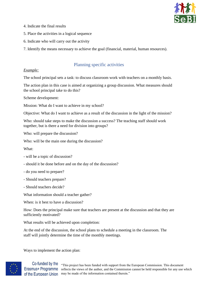

- 4. Indicate the final results
- 5. Place the activities in a logical sequence
- 6. Indicate who will carry out the activity

7. Identify the means necessary to achieve the goal (financial, material, human resources).

## Planning specific activities

#### <span id="page-21-0"></span>*Example:*

The school principal sets a task: to discuss classroom work with teachers on a monthly basis.

The action plan in this case is aimed at organizing a group discussion. What measures should the school principal take to do this?

Scheme development:

Mission: What do I want to achieve in my school?

Objective: What do I want to achieve as a result of the discussion in the light of the mission?

Who: should take steps to make the discussion a success? The teaching staff should work together, but is there a need for division into groups?

Who: will prepare the discussion?

Who: will be the main one during the discussion?

What:

- will be a topic of discussion?
- should it be done before and on the day of the discussion?
- do you need to prepare?
- Should teachers prepare?
- Should teachers decide?

What information should a teacher gather?

When: is it best to have a discussion?

How: Does the principal make sure that teachers are present at the discussion and that they are sufficiently motivated?

What results will be achieved upon completion:

At the end of the discussion, the school plans to schedule a meeting in the classroom. The staff will jointly determine the time of the monthly meetings.

Ways to implement the action plan:

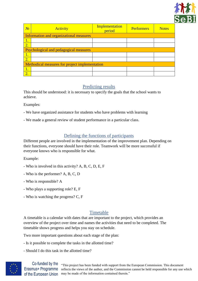

| $N_2$ | <b>Activity</b>                                | Implementation<br>period | <b>Performers</b> | <b>Notes</b> |
|-------|------------------------------------------------|--------------------------|-------------------|--------------|
|       | Information and organizational measures        |                          |                   |              |
| 1.    |                                                |                          |                   |              |
| 2.    |                                                |                          |                   |              |
|       | <b>Psychological and pedagogical measures</b>  |                          |                   |              |
| 1.    |                                                |                          |                   |              |
| 2.    |                                                |                          |                   |              |
|       | Methodical measures for project implementation |                          |                   |              |
| 1.    |                                                |                          |                   |              |
| 2.    |                                                |                          |                   |              |

## Predicting results

<span id="page-22-0"></span>This should be understood: it is necessary to specify the goals that the school wants to achieve.

Examples:

- We have organized assistance for students who have problems with learning
- We made a general review of student performance in a particular class.

## Defining the functions of participants

<span id="page-22-1"></span>Different people are involved in the implementation of the improvement plan. Depending on their functions, everyone should have their role. Teamwork will be more successful if everyone knows who is responsible for what.

Example:

- Who is involved in this activity? A, B, C, D, E, F
- Who is the performer? A, B, C, D
- Who is responsible? A
- Who plays a supporting role? E, F
- Who is watching the progress? C, F

## Timetable

<span id="page-22-2"></span>A timetable is a calendar with dates that are important to the project, which provides an overview of the project over time and names the activities that need to be completed. The timetable shows progress and helps you stay on schedule.

Two more important questions about each stage of the plan:

- Is it possible to complete the tasks in the allotted time?
- Should I do this task in the allotted time?



Co-funded by the Erasmus+ Programme of the European Union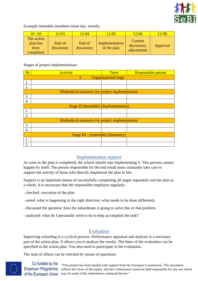

#### Example timetable (numbers mean day, month)

| $10 - 02$                                   | $12 - 03$              | $12 - 04$            | $12 - 05$                     | $12 - 06$                             | $12 - 08$ |
|---------------------------------------------|------------------------|----------------------|-------------------------------|---------------------------------------|-----------|
| The action<br>plan has<br>been<br>completed | Start of<br>discussion | End of<br>discussion | Implementation<br>of the plan | Current<br>discussion,<br>adjustments | Approval  |

#### Stages of project implementation:

| $N_2$              | <b>Activity</b>                                | Term                        | <b>Responsible person</b> |
|--------------------|------------------------------------------------|-----------------------------|---------------------------|
|                    | I.                                             | <b>Organizational stage</b> |                           |
| 1.                 |                                                |                             |                           |
| 2.                 |                                                |                             |                           |
|                    | Methodical measures for project implementation |                             |                           |
| 3.                 |                                                |                             |                           |
| $\boldsymbol{4}$ . |                                                |                             |                           |
|                    | <b>Stage II (timetable) (Implementation)</b>   |                             |                           |
| 1.                 |                                                |                             |                           |
| 2.                 |                                                |                             |                           |
|                    | Methodical measures for project implementation |                             |                           |
| 3.                 |                                                |                             |                           |
| 4.                 |                                                |                             |                           |
|                    | Stage III - (timetable) (Summary)              |                             |                           |
| 1.                 |                                                |                             |                           |
| 2.                 |                                                |                             |                           |

## Implementation support

<span id="page-23-0"></span>As soon as the plan is completed, the school should start implementing it. This process cannot happen by itself. The person responsible for the end result must constantly take care to support the activity of those who directly implement the plan in life.

Support is an important means of successfully completing all stages separately and the plan as a whole. It is necessary that the responsible employee regularly:

- checked: execution of the plan
- asked: what is happening in the right direction, what needs to be done differently
- discussed the question: how the subordinate is going to solve this or that problem
- analyzed: what do I personally need to do to help accomplish the task?

### Evaluation

<span id="page-23-1"></span>Improving schooling is a cyclical process. Performance appraisal and analysis is a necessary part of the action plan. It allows you to analyze the results. The dates of the evaluation can be specified in the action plan. You also need to participate in the evaluation.

The state of affairs can be checked by means of questions:

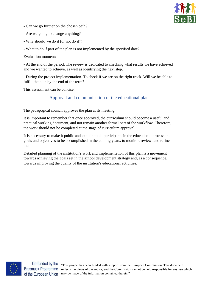

- Can we go further on the chosen path?
- Are we going to change anything?
- Why should we do it (or not do it)?
- What to do if part of the plan is not implemented by the specified date?

Evaluation moment:

- At the end of the period. The review is dedicated to checking what results we have achieved and we wanted to achieve, as well as identifying the next step.

- During the project implementation. To check if we are on the right track. Will we be able to fulfill the plan by the end of the term?

<span id="page-24-0"></span>This assessment can be concise.

Approval and communication of the educational plan

The pedagogical council approves the plan at its meeting.

It is important to remember that once approved, the curriculum should become a useful and practical working document, and not remain another formal part of the workflow. Therefore, the work should not be completed at the stage of curriculum approval.

It is necessary to make it public and explain to all participants in the educational process the goals and objectives to be accomplished in the coming years, to monitor, review, and refine them.

Detailed planning of the institution's work and implementation of this plan is a movement towards achieving the goals set in the school development strategy and, as a consequence, towards improving the quality of the institution's educational activities.



Co-funded by the Erasmus+ Programme of the European Union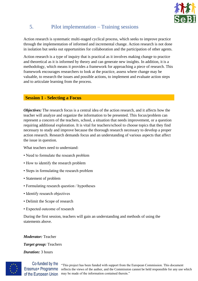

## <span id="page-25-0"></span>5. Pilot implementation – Training sessions

Action research is systematic multi-staged cyclical process, which seeks to improve practice through the implementation of informed and incremental change. Action research is not done in isolation but seeks out opportunities for collaboration and the participation of other agents.

Action research is a type of inquiry that is practical as it involves making change to practice and theoretical as it is informed by theory and can generate new insights. In addition, it is a methodology, which means it provides a framework for approaching a piece of research. This framework encourages researchers to look at the practice, assess where change may be valuable, to research the issues and possible actions, to implement and evaluate action steps and to articulate learning from the process.

### <span id="page-25-1"></span>**Session 1 - Selecting a Focus**

*Objectives:* The research focus is a central idea of the action research, and it affects how the teacher will analyze and organize the information to be presented. This focus/problem can represent a concern of the teachers, school, a situation that needs improvement, or a question requiring additional exploration. It is vital for teachers/school to choose topics that they find necessary to study and improve because the thorough research necessary to develop a proper action research. Research demands focus and an understanding of various aspects that affect the issue in question.

What teachers need to understand:

- Need to formulate the research problem
- How to identify the research problem
- Steps in formulating the research problem
- Statement of problem
- Formulating research question / hypotheses
- Identify research objectives
- Delimit the Scope of research
- Expected outcome of research

During the first session, teachers will gain an understanding and methods of using the statements above.

*Moderator:* Teacher

*Target group:* Teachers

*Duration:* 3 hours



Co-funded by the Erasmus+ Programme of the European Union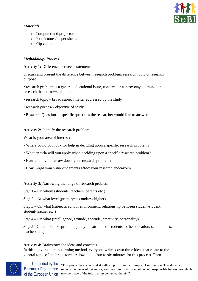

#### *Materials:*

- o Computer and projector
- o Post-it notes/ paper sheets
- o Flip charts

### *Methodology-Process.*

**Activity 1:** Difference between statements

Discuss and present the difference between research problem, research topic & research purpose

• research problem is a general educational issue, concern, or controversy addressed in research that narrows the topic.

- research topic broad subject matter addressed by the study
- research purpose- objective of study
- Research Questions specific questions the researcher would like to answer

### **Activity 2:** Identify the research problem

What is your area of interest?

- Where could you look for help in deciding upon a specific research problem?
- What criteria will you apply when deciding upon a specific research problem?
- How could you narrow down your research problem?
- How might your value-judgments affect your research endeavors?

**Activity 3:** Narrowing the range of research problem

- *Step 1* On whom (students, teachers, parents etc.)
- *Step 2* At what level (primary/ secondary/ higher)

*Step 3* **–** On what (subjects, school environment, relationship between student-student, student-teacher etc.)

*Step 4* **–** On what (intelligence, attitude, aptitude, creativity, personality)

*Step 5* **-** Operationalize problem (study the attitude of students to the education, schoolmates, teachers etc.)

#### <span id="page-26-0"></span>**Activity 4:** Brainstorm the ideas and concepts

In this nonverbal brainstorming method, everyone writes down three ideas that relate to the general topic of the brainstorm. Allow about four to six minutes for this process. Then

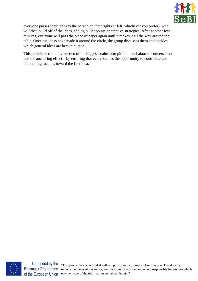

everyone passes their ideas to the person on their right (or left, whichever you prefer), who will then build off of the ideas, adding bullet points or creative strategies. After another few minutes, everyone will pass the piece of paper again until it makes it all the way around the table. Once the ideas have made it around the circle, the group discusses them and decides which general ideas are best to pursue.

This technique can alleviate two of the biggest brainstorm pitfalls—unbalanced conversation and the anchoring effect—by ensuring that everyone has the opportunity to contribute and eliminating the bias toward the first idea.



Co-funded by the Erasmus+ Programme of the European Union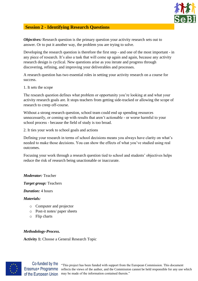

### <span id="page-28-0"></span>**Session 2 - Identifying Research Questions**

*Objectives:* Research question is the primary question your activity research sets out to answer. Or to put it another way, the problem you are trying to solve.

Developing the research question is therefore the first step - and one of the most important - in any piece of research. It's also a task that will come up again and again, because any activity research design is cyclical. New questions arise as you iterate and progress through discovering, refining, and improving your deliverables and processes.

A research question has two essential roles in setting your activity research on a course for success.

1. It sets the scope

The research question defines what problem or opportunity you're looking at and what your activity research goals are. It stops teachers from getting side-tracked or allowing the scope of research to creep off-course.

Without a strong research question, school team could end up spending resources unnecessarily, or coming up with results that aren't actionable - or worse harmful to your school process - because the field of study is too broad.

2. It ties your work to school goals and actions

Defining your research in terms of school decisions means you always have clarity on what's needed to make those decisions. You can show the effects of what you've studied using real outcomes.

Focusing your work through a research question tied to school and students' objectives helps reduce the risk of research being unactionable or inaccurate.

#### *Moderator:* Teacher

*Target group:* Teachers

#### *Duration:* 4 hours

*Materials:* 

- o Computer and projector
- o Post-it notes/ paper sheets
- o Flip charts

#### *Methodology-Process.*

**Activity 1:** Choose a General Research Topic



Erasmus+ Programme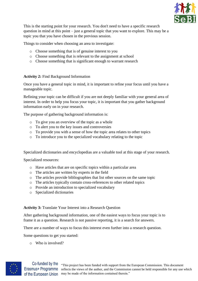

This is the starting point for your research. You don't need to have a specific research question in mind at this point – just a general topic that you want to explore. This may be a topic you that you have chosen in the previous session.

Things to consider when choosing an area to investigate:

- o Choose something that is of genuine interest to you
- o Choose something that is relevant to the assignment at school
- o Choose something that is significant enough to warrant research

#### **Activity 2:** Find Background Information

Once you have a general topic in mind, it is important to refine your focus until you have a manageable topic.

Refining your topic can be difficult if you are not deeply familiar with your general area of interest. In order to help you focus your topic, it is important that you gather background information early on in your research.

The purpose of gathering background information is:

- o To give you an overview of the topic as a whole
- o To alert you to the key issues and controversies
- o To provide you with a sense of how the topic area relates to other topics
- o To introduce you to the specialized vocabulary relating to the topic

Specialized dictionaries and encyclopedias are a valuable tool at this stage of your research.

Specialized resources:

- o Have articles that are on specific topics within a particular area
- o The articles are written by experts in the field
- o The articles provide bibliographies that list other sources on the same topic
- o The articles typically contain cross-references to other related topics
- o Provide an introduction to specialized vocabulary
- o Specialized dictionaries

#### **Activity 3:** Translate Your Interest into a Research Question

After gathering background information, one of the easiest ways to focus your topic is to frame it as a question. Research is not passive reporting, it is a search for answers.

There are a number of ways to focus this interest even further into a research question.

Some questions to get you started:

o Who is involved?

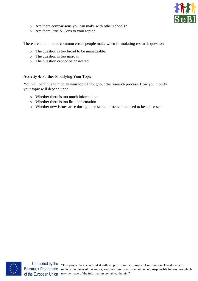

- o Are there comparisons you can make with other schools?
- o Are there Pros & Cons to your topic?

There are a number of common errors people make when formulating research questions:

- o The question is too broad to be manageable.
- o The question is too narrow.
- o The question cannot be answered.

#### **Activity 4:** Further Modifying Your Topic

You will continue to modify your topic throughout the research process. How you modify your topic will depend upon:

- o Whether there is too much information
- o Whether there is too little information
- o Whether new issues arise during the research process that need to be addressed



Erasmus+ Programme of the European Union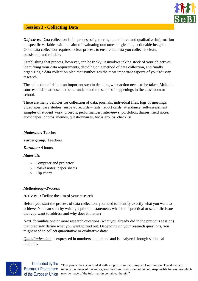

### <span id="page-31-0"></span>**Session 3 - Collecting Data**

*Objectives:* Data collection is the process of gathering quantitative and qualitative information on specific variables with the aim of evaluating outcomes or gleaning actionable insights. Good data collection requires a clear process to ensure the data you collect is clean, consistent, and reliable.

Establishing that process, however, can be tricky. It involves taking stock of your objectives, identifying your data requirements, deciding on a method of data collection, and finally organizing a data collection plan that synthesizes the most important aspects of your activity research.

The collection of data is an important step in deciding what action needs to be taken. Multiple sources of data are used to better understand the scope of happenings in the classroom or school.

There are many vehicles for collection of data: journals, individual files, logs of meetings, videotapes, case studies, surveys, records – tests, report cards, attendance, self-assessment, samples of student work, projects, performances, interviews, portfolios, diaries, field notes, audio tapes, photos, memos, questionnaires, focus groups, checklist.

#### *Moderator:* Teacher

*Target group:* Teachers

*Duration:* 4 hours

#### *Materials:*

- o Computer and projector
- o Post-it notes/ paper sheets
- o Flip charts

#### *Methodology-Process.*

#### **Activity 1:** Define the aim of your research

Before you start the process of data collection, you need to identify exactly what you want to achieve. You can start by writing a problem statement: what is the practical or scientific issue that you want to address and why does it matter?

Next, formulate one or more research questions (what you already did in the previous session) that precisely define what you want to find out. Depending on your research questions, you might need to collect quantitative or qualitative data:

*Quantitative data* is expressed in numbers and graphs and is analyzed through statistical methods.

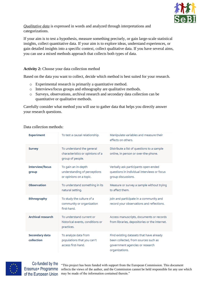

*Qualitative data* is expressed in words and analyzed through interpretations and categorizations.

If your aim is to test a hypothesis, measure something precisely, or gain large-scale statistical insights, collect quantitative data. If your aim is to explore ideas, understand experiences, or gain detailed insights into a specific context, collect qualitative data. If you have several aims, you can use a mixed methods approach that collects both types of data.

#### **Activity 2:** Choose your data collection method

Based on the data you want to collect, decide which method is best suited for your research.

- o Experimental research is primarily a quantitative method.
- o Interviews/focus groups and ethnography are qualitative methods.
- o Surveys, observations, archival research and secondary data collection can be quantitative or qualitative methods.

Carefully consider what method you will use to gather data that helps you directly answer your research questions.

| <b>Experiment</b>                   | To test a causal relationship.                                                    | Manipulate variables and measure their<br>effects on others.                                                                          |
|-------------------------------------|-----------------------------------------------------------------------------------|---------------------------------------------------------------------------------------------------------------------------------------|
| <b>Survey</b>                       | To understand the general<br>characteristics or opinions of a<br>group of people. | Distribute a list of questions to a sample<br>online, in person or over-the-phone.                                                    |
| <b>Interview/focus</b><br>group     | To gain an in-depth<br>understanding of perceptions<br>or opinions on a topic.    | Verbally ask participants open-ended<br>questions in individual interviews or focus<br>group discussions.                             |
| <b>Observation</b>                  | To understand something in its<br>natural setting.                                | Measure or survey a sample without trying<br>to affect them.                                                                          |
| <b>Ethnography</b>                  | To study the culture of a<br>community or organization<br>first-hand.             | Join and participate in a community and<br>record your observations and reflections.                                                  |
| <b>Archival research</b>            | To understand current or<br>historical events, conditions or<br>practices.        | Access manuscripts, documents or records<br>from libraries, depositories or the internet.                                             |
| <b>Secondary data</b><br>collection | To analyze data from<br>populations that you can't<br>access first-hand.          | Find existing datasets that have already<br>been collected, from sources such as<br>government agencies or research<br>organizations. |

Data collection methods:



Co-funded by the Erasmus+ Programme of the European Union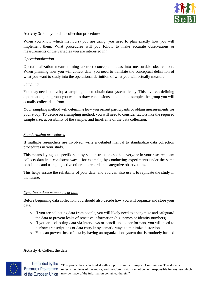

#### **Activity 3:** Plan your data collection procedures

When you know which method(s) you are using, you need to plan exactly how you will implement them. What procedures will you follow to make accurate observations or measurements of the variables you are interested in?

#### *Operationalization*

Operationalization means turning abstract conceptual ideas into measurable observations. When planning how you will collect data, you need to translate the conceptual definition of what you want to study into the operational definition of what you will actually measure.

#### *Sampling*

You may need to develop a sampling plan to obtain data systematically. This involves defining a population, the group you want to draw conclusions about, and a sample, the group you will actually collect data from.

Your sampling method will determine how you recruit participants or obtain measurements for your study. To decide on a sampling method, you will need to consider factors like the required sample size, accessibility of the sample, and timeframe of the data collection.

#### *Standardizing procedures*

If multiple researchers are involved, write a detailed manual to standardize data collection procedures in your study.

This means laying out specific step-by-step instructions so that everyone in your research team collects data in a consistent way – for example, by conducting experiments under the same conditions and using objective criteria to record and categorize observations.

This helps ensure the reliability of your data, and you can also use it to replicate the study in the future.

#### *Creating a data management plan*

Before beginning data collection, you should also decide how you will organize and store your data.

- o If you are collecting data from people, you will likely need to anonymize and safeguard the data to prevent leaks of sensitive information (e.g. names or identity numbers).
- o If you are collecting data via interviews or pencil-and-paper formats, you will need to perform transcriptions or data entry in systematic ways to minimize distortion.
- o You can prevent loss of data by having an organization system that is routinely backed up.

#### **Activity 4:** Collect the data

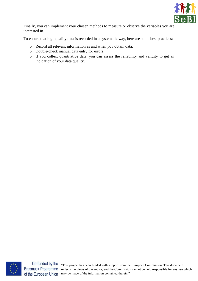

Finally, you can implement your chosen methods to measure or observe the variables you are interested in.

To ensure that high quality data is recorded in a systematic way, here are some best practices:

- o Record all relevant information as and when you obtain data.
- o Double-check manual data entry for errors.
- o If you collect quantitative data, you can assess the reliability and validity to get an indication of your data quality.



Erasmus+ Programme of the European Union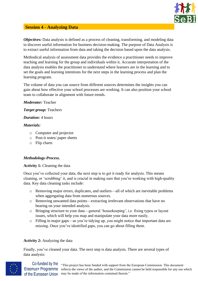

### <span id="page-35-0"></span>**Session 4 - Analyzing Data**

*Objectives:* Data analysis is defined as a process of cleaning, transforming, and modeling data to discover useful information for business decision-making. The purpose of Data Analysis is to extract useful information from data and taking the decision based upon the data analysis.

Methodical analysis of assessment data provides the evidence a practitioner needs to improve teaching and learning for the group and individuals within it. Accurate interpretation of the data analysis enables the practitioner to understand where learners are in the learning and to set the goals and learning intentions for the next steps in the learning process and plan the learning program.

The volume of data you can source from different sources determines the insights you can gain about how effective your school processes are working. It can also position your school team to collaborate in alignment with future trends.

#### *Moderator:* Teacher

#### *Target group:* Teachers

#### *Duration:* 4 hours

#### *Materials:*

- o Computer and projector
- o Post-it notes/ paper sheets
- o Flip charts

#### *Methodology-Process.*

#### **Activity 1:** Cleaning the data

Once you've collected your data, the next step is to get it ready for analysis. This means cleaning, or 'scrubbing' it, and is crucial in making sure that you're working with high-quality data. Key data cleaning tasks include:

- o Removing major errors, duplicates, and outliers—all of which are inevitable problems when aggregating data from numerous sources.
- o Removing unwanted data points—extracting irrelevant observations that have no bearing on your intended analysis.
- o Bringing structure to your data—general 'housekeeping', i.e. fixing typos or layout issues, which will help you map and manipulate your data more easily.
- o Filling in major gaps—as you're tidying up, you might notice that important data are missing. Once you've identified gaps, you can go about filling them.

#### <span id="page-35-1"></span>**Activity 2:** Analyzing the data

Finally, you've cleaned your data. The next step is data analysis. There are several types of data analysis:

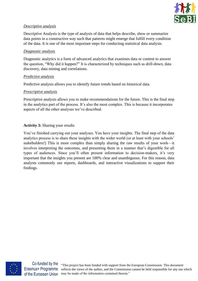

#### *Descriptive analysis*

Descriptive Analysis is the type of analysis of data that helps describe, show or summarize data points in a constructive way such that patterns might emerge that fulfill every condition of the data. It is one of the most important steps for conducting statistical data analysis.

#### *Diagnostic analysis*

Diagnostic analytics is a form of advanced analytics that examines data or content to answer the question, "Why did it happen?" It is characterized by techniques such as drill-down, data discovery, data mining and correlations.

#### *Predictive analysis*

Predictive analysis allows you to identify future trends based on historical data.

#### *Prescriptive analysis*

Prescriptive analysis allows you to make recommendations for the future. This is the final step in the analytics part of the process. It's also the most complex. This is because it incorporates aspects of all the other analyses we've described.

#### **Activity 3:** Sharing your results

You've finished carrying out your analyses. You have your insights. The final step of the data analytics process is to share these insights with the wider world (or at least with your schools' stakeholders!) This is more complex than simply sharing the raw results of your work—it involves interpreting the outcomes, and presenting them in a manner that's digestible for all types of audiences. Since you'll often present information to decision-makers, it's very important that the insights you present are 100% clear and unambiguous. For this reason, data analysts commonly use reports, dashboards, and interactive visualizations to support their findings.



Co-funded by the Erasmus+ Programme of the European Union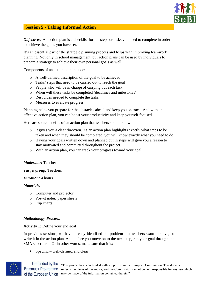

### <span id="page-37-0"></span>**Session 5 - Taking Informed Action**

*Objectives:* An action plan is a checklist for the steps or tasks you need to complete in order to achieve the goals you have set.

It's an essential part of the strategic planning process and helps with improving teamwork planning. Not only in school management, but action plans can be used by individuals to prepare a strategy to achieve their own personal goals as well.

Components of an action plan include:

- o A well-defined description of the goal to be achieved
- o Tasks/ steps that need to be carried out to reach the goal
- o People who will be in charge of carrying out each task
- o When will these tasks be completed (deadlines and milestones)
- o Resources needed to complete the tasks
- o Measures to evaluate progress

Planning helps you prepare for the obstacles ahead and keep you on track. And with an effective action plan, you can boost your productivity and keep yourself focused.

Here are some benefits of an action plan that teachers should know:

- o It gives you a clear direction. As an action plan highlights exactly what steps to be taken and when they should be completed, you will know exactly what you need to do.
- o Having your goals written down and planned out in steps will give you a reason to stay motivated and committed throughout the project.
- o With an action plan, you can track your progress toward your goal.

#### *Moderator:* Teacher

#### *Target group:* Teachers

#### *Duration:* 4 hours

#### *Materials:*

- o Computer and projector
- o Post-it notes/ paper sheets
- o Flip charts

#### *Methodology-Process.*

#### **Activity 1:** Define your end goal

In previous sessions, we have already identified the problem that teachers want to solve, so write it in the action plan. And before you move on to the next step, run your goal through the SMART criteria. Or in other words, make sure that it is:

 $\blacksquare$  Specific – well-defined and clear



Erasmus+ Programme of the European Union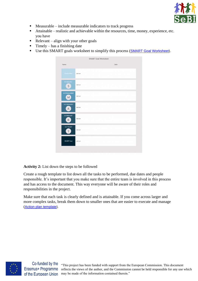

- Measurable include measurable indicators to track progress
- Attainable realistic and achievable within the resources, time, money, experience, etc. you have
- $\blacksquare$  Relevant align with your other goals
- $\blacksquare$  Timely has a finishing date
- **E** Use this SMART goals worksheet to simplify this process ([SMART Goal Worksheet](https://app.creately.com/diagram/Mw59c8r7TY8/edit)).

|                                     | <b>SMART Goal Worksheet</b> |       |  |
|-------------------------------------|-----------------------------|-------|--|
| Name:                               |                             | Date: |  |
| Goldin Med.                         | Add text                    |       |  |
| Is it Specific?<br>$\sf S$          | Add tect                    |       |  |
| Is it Measureable?<br>M             | Add text                    |       |  |
| Is it Attainable?<br>$\overline{A}$ | Add tact                    |       |  |
| Is it Relevant?<br>R.               | Add tect                    |       |  |
| <b>Is it Timely?</b>                | Add tect                    |       |  |
| <b>SMART Goal</b>                   | Add tect                    |       |  |
|                                     |                             |       |  |

#### **Activity 2:** List down the steps to be followed

Create a rough template to list down all the tasks to be performed, due dates and people responsible. It's important that you make sure that the entire team is involved in this process and has access to the document. This way everyone will be aware of their roles and responsibilities in the project.

Make sure that each task is clearly defined and is attainable. If you come across larger and more complex tasks, break them down to smaller ones that are easier to execute and manage ([Action plan template](https://app.creately.com/diagram/IOasxQ5KPUT/edit)).



Erasmus+ Programme of the European Union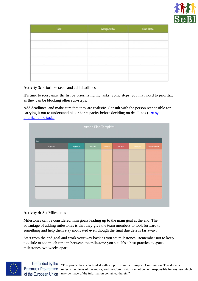

| Task | Assigned to | Due Date |  |  |
|------|-------------|----------|--|--|
|      |             |          |  |  |
|      |             |          |  |  |
|      |             |          |  |  |
|      |             |          |  |  |
|      |             |          |  |  |
|      |             |          |  |  |

**Activity 3:** Prioritize tasks and add deadlines

It's time to reorganize the list by prioritizing the tasks. Some steps, you may need to prioritize as they can be blocking other sub-steps.

Add deadlines, and make sure that they are realistic. Consult with the person responsible for carrying it out to understand his or her capacity before deciding on deadlines ([List by](https://app.creately.com/diagram/F752Wx0h2Jz/edit)  [prioritizing the tasks](https://app.creately.com/diagram/F752Wx0h2Jz/edit)).

| Action Plan Template |                   |            |          |           |                        |  |
|----------------------|-------------------|------------|----------|-----------|------------------------|--|
|                      |                   |            |          |           |                        |  |
|                      |                   |            |          |           |                        |  |
| Responsible          | <b>Start Date</b> | Milestones | Due Date | Resources | <b>Desired Outcome</b> |  |
|                      |                   |            |          |           |                        |  |
|                      |                   |            |          |           |                        |  |
|                      |                   |            |          |           |                        |  |
|                      |                   |            |          |           |                        |  |
|                      |                   |            |          |           |                        |  |
|                      |                   |            |          |           |                        |  |
|                      |                   |            |          |           |                        |  |
|                      |                   |            |          |           |                        |  |
|                      |                   |            |          |           |                        |  |

#### **Activity 4:** Set Milestones

Milestones can be considered mini goals leading up to the main goal at the end. The advantage of adding milestones is that they give the team members to look forward to something and help them stay motivated even though the final due date is far away.

Start from the end goal and work your way back as you set milestones. Remember not to keep too little or too much time in between the milestone you set. It's a best practice to space milestones two weeks apart.



Co-funded by the Erasmus+ Programme of the European Union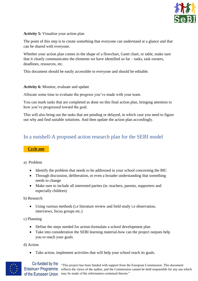

#### **Activity 5:** Visualize your action plan

The point of this step is to create something that everyone can understand at a glance and that can be shared with everyone.

Whether your action plan comes in the shape of a flowchart, Gantt chart, or table, make sure that it clearly communicates the elements we have identified so far – tasks, task owners, deadlines, resources, etc.

This document should be easily accessible to everyone and should be editable.

#### **Activity 6:** Monitor, evaluate and update

Allocate some time to evaluate the progress you've made with your team.

You can mark tasks that are completed as done on this final action plan, bringing attention to how you've progressed toward the goal.

This will also bring out the tasks that are pending or delayed, in which case you need to figure out why and find suitable solutions. And then update the action plan accordingly.

## <span id="page-40-0"></span>In a nutshell-A proposed action research plan for the SEBI model

#### <span id="page-40-1"></span>**Cycle one**

#### a) Problem

- Identify the problem that needs to be addressed in your school concerning the BIC
- Through discussion, deliberation, or even a broader understanding that something needs to change
- Make sure to include all interested parties (ie. teachers, parents, supporters and especially children)

b) Research

• Using various methods (i.e literature review and field study i.e observation, interviews, focus groups etc.)

c) Planning

- Define the steps needed for action-formulate a school development plan
- Take into consideration the SEBI learning material-how can the project outputs help you to reach your goals

d) Action

• Take action, implement activities that will help your school reach its goals.

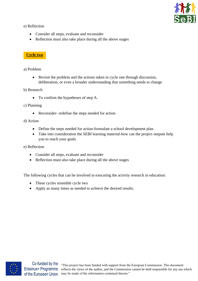

e) Reflection

- Consider all steps, evaluate and reconsider
- Reflection must also take place during all the above stages

### <span id="page-41-0"></span>**Cycle two**

a) Problem

- Revisit the problem and the actions taken in cycle one through discussion, deliberation, or even a broader understanding that something needs to change
- b) Research
	- To confirm the hypotheses of step A.
- c) Planning
	- Reconsider- redefine the steps needed for action

d) Action

- Define the steps needed for action-formulate a school development plan
- Take into consideration the SEBI learning material-how can the project outputs help you to reach your goals

e) Reflection

- Consider all steps, evaluate and reconsider
- Reflection must also take place during all the above stages

The following cycles that can be involved in executing the activity research in education:

- These cycles resemble cycle two
- Apply as many times as needed to achieve the desired results.



Erasmus+ Programme of the European Union